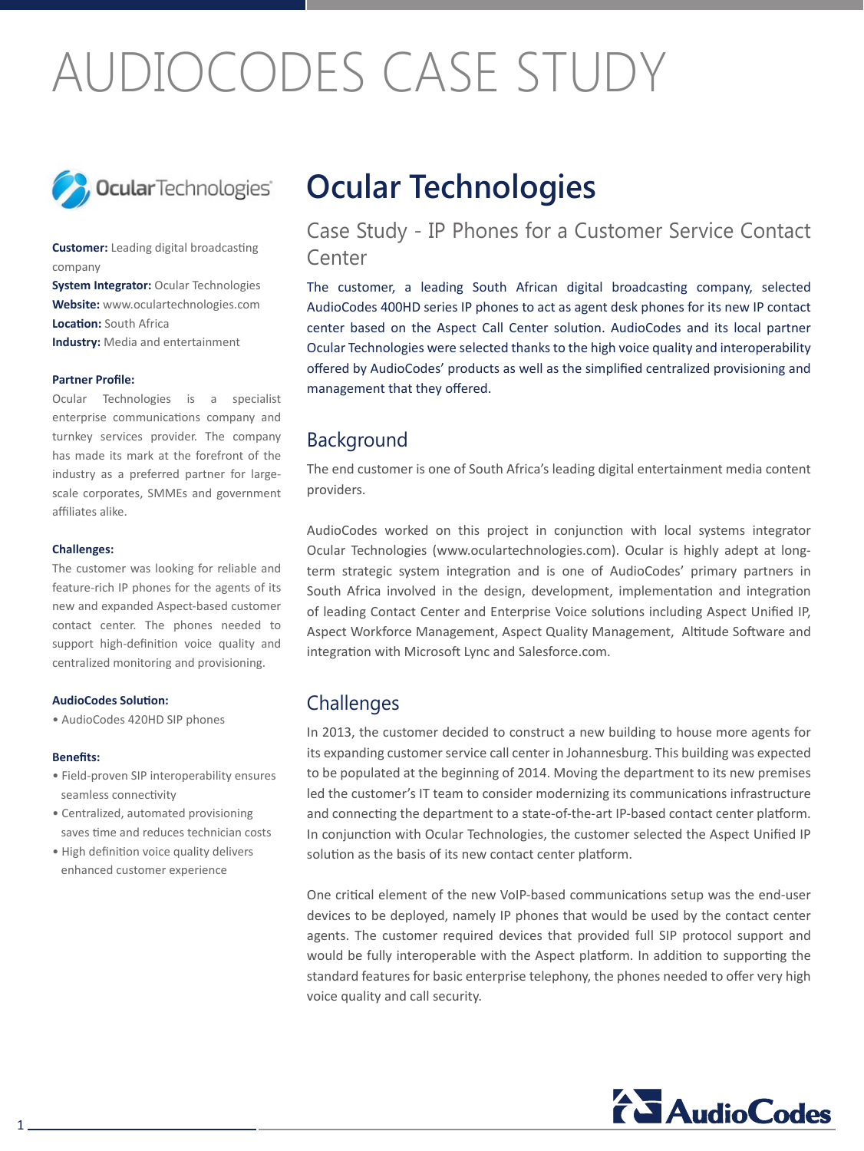# AUDIOCODES CASE STUDY



**Customer:** Leading digital broadcasting company

System Integrator: Ocular Technologies **Website:** www.oculartechnologies.com **Location:** South Africa **Industry:** Media and entertainment

### **Partner Profile:**

Ocular Technologies is a specialist enterprise communications company and turnkey services provider. The company has made its mark at the forefront of the scale corporates, SMMEs and government industry as a preferred partner for largeaffiliates alike.

#### **:Challenges**

The customer was looking for reliable and feature-rich IP phones for the agents of its new and expanded Aspect-based customer contact center. The phones needed to support high-definition voice quality and centralized monitoring and provisioning.

### **AudioCodes Solution:**

• AudioCodes 420HD SIP phones

### **:Benefits**

- Field-proven SIP interoperability ensures seamless connectivity
- Centralized, automated provisioning saves time and reduces technician costs
- High definition voice quality delivers enhanced customer experience

# **Ocular Technologies**

Case Study - IP Phones for a Customer Service Contact Center

The customer, a leading South African digital broadcasting company, selected AudioCodes 400HD series IP phones to act as agent desk phones for its new IP contact center based on the Aspect Call Center solution. AudioCodes and its local partner Ocular Technologies were selected thanks to the high voice quality and interoperability offered by AudioCodes' products as well as the simplified centralized provisioning and management that they offered.

### Background

The end customer is one of South Africa's leading digital entertainment media content providers.

AudioCodes worked on this project in conjunction with local systems integrator term strategic system integration and is one of AudioCodes' primary partners in Ocular Technologies (www.oculartechnologies.com). Ocular is highly adept at long-South Africa involved in the design, development, implementation and integration of leading Contact Center and Enterprise Voice solutions including Aspect Unified IP, Aspect Workforce Management, Aspect Quality Management, Altitude Software and integration with Microsoft Lync and Salesforce.com.

## **Challenges**

In 2013, the customer decided to construct a new building to house more agents for its expanding customer service call center in Johannesburg. This building was expected to be populated at the beginning of 2014. Moving the department to its new premises led the customer's IT team to consider modernizing its communications infrastructure and connecting the department to a state-of-the-art IP-based contact center platform. In conjunction with Ocular Technologies, the customer selected the Aspect Unified IP solution as the basis of its new contact center platform.

One critical element of the new VoIP-based communications setup was the end-user devices to be deployed, namely IP phones that would be used by the contact center agents. The customer required devices that provided full SIP protocol support and would be fully interoperable with the Aspect platform. In addition to supporting the standard features for basic enterprise telephony, the phones needed to offer very high voice quality and call security.

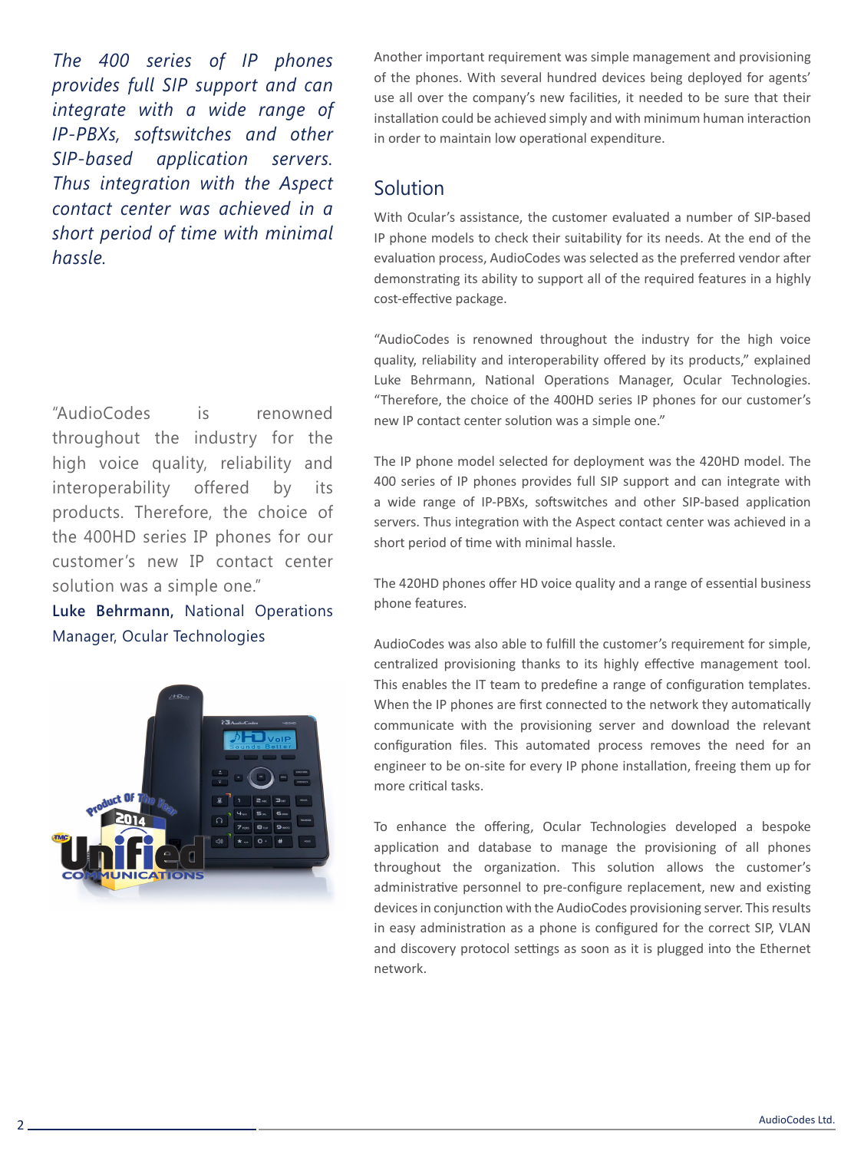*The 400 series of IP phones provides full SIP support and can integrate with a wide range of IP-PBXs*, softswitches and other *SIP-based application servers. Thus integration with the Aspect contact center was achieved in a short period of time with minimal .hassle*

"AudioCodes is renowned throughout the industry for the high voice quality, reliability and interoperability offered by its products. Therefore, the choice of the 400HD series IP phones for our customer's new IP contact center solution was a simple one."

Luke Behrmann, National Operations Manager, Ocular Technologies



Another important requirement was simple management and provisioning of the phones. With several hundred devices being deployed for agents' use all over the company's new facilities, it needed to be sure that their installation could be achieved simply and with minimum human interaction in order to maintain low operational expenditure.

# Solution

With Ocular's assistance, the customer evaluated a number of SIP-based IP phone models to check their suitability for its needs. At the end of the evaluation process, AudioCodes was selected as the preferred vendor after demonstrating its ability to support all of the required features in a highly cost-effective package.

"AudioCodes is renowned throughout the industry for the high voice quality, reliability and interoperability offered by its products," explained Luke Behrmann, National Operations Manager, Ocular Technologies. "Therefore, the choice of the 400HD series IP phones for our customer's new IP contact center solution was a simple one."

The IP phone model selected for deployment was the 420HD model. The 400 series of IP phones provides full SIP support and can integrate with a wide range of IP-PBXs, softswitches and other SIP-based application servers. Thus integration with the Aspect contact center was achieved in a short period of time with minimal hassle.

The 420HD phones offer HD voice quality and a range of essential business phone features.

AudioCodes was also able to fulfill the customer's requirement for simple, centralized provisioning thanks to its highly effective management tool. This enables the IT team to predefine a range of configuration templates. When the IP phones are first connected to the network they automatically communicate with the provisioning server and download the relevant configuration files. This automated process removes the need for an engineer to be on-site for every IP phone installation, freeing them up for more critical tasks.

To enhance the offering, Ocular Technologies developed a bespoke application and database to manage the provisioning of all phones throughout the organization. This solution allows the customer's administrative personnel to pre-configure replacement, new and existing devices in conjunction with the AudioCodes provisioning server. This results in easy administration as a phone is configured for the correct SIP, VLAN and discovery protocol settings as soon as it is plugged into the Ethernet .network